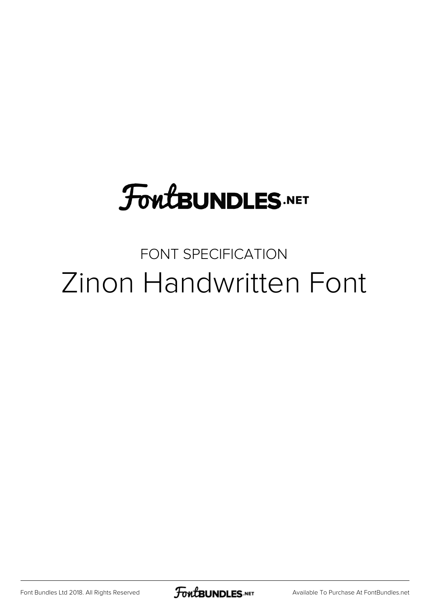# **FoutBUNDLES.NET**

### FONT SPECIFICATION Zinon Handwritten Font

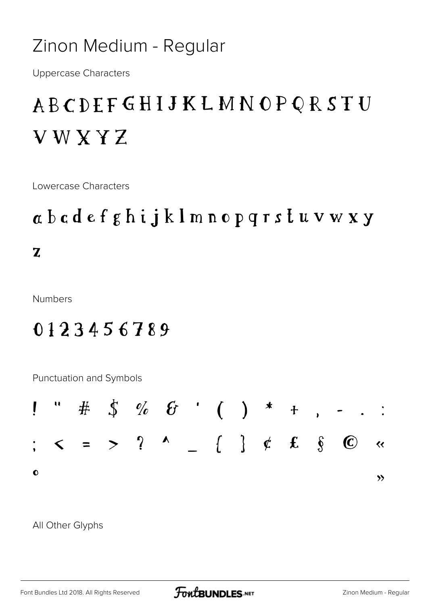#### Zinon Medium - Regular

**Uppercase Characters** 

### **ABCDEFGHIJKLMNOPQRSTU VWXYZ**

Lowercase Characters

## $\alpha$  b c d e f g h i j k l m n o p q r s t u v w x y  $\mathbf{Z}$

**Numbers** 

#### 0123456789

Punctuation and Symbols



All Other Glyphs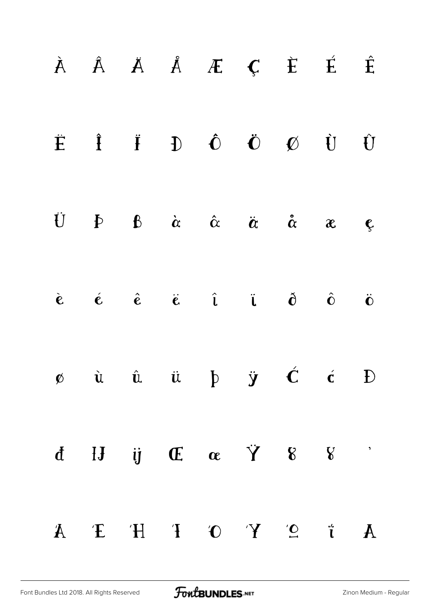| $\begin{array}{ccccccccccccccccc}\n\hat{A} & \hat{A} & \hat{A} & \hat{A} & \hat{A} & \hat{E} & \hat{E} & \hat{E}\n\end{array}$                                                                                                                                |  |  |  |                         |
|---------------------------------------------------------------------------------------------------------------------------------------------------------------------------------------------------------------------------------------------------------------|--|--|--|-------------------------|
| $\ddot{E} \quad \hat{I} \quad \ddot{I} \quad D \quad \hat{O} \quad \ddot{O} \quad \varnothing \quad \dot{U} \quad \dot{U}$                                                                                                                                    |  |  |  |                         |
| U $\phi$ $\alpha$ $\alpha$ $\alpha$ $\alpha$ $\alpha$                                                                                                                                                                                                         |  |  |  | $\mathbf{\mathfrak{C}}$ |
| $\begin{array}{ccccccccccccccccc} \hat{\mathbf{c}} & \hat{\mathbf{c}} & \hat{\mathbf{c}} & \hat{\mathbf{c}} & \hat{\mathbf{c}} & \hat{\mathbf{c}} & \hat{\mathbf{c}} & \hat{\mathbf{c}} & \hat{\mathbf{c}} & \hat{\mathbf{c}} & \hat{\mathbf{c}} \end{array}$ |  |  |  |                         |
| $\phi$ ù û $\ddot{u}$ $\phi$ $\ddot{y}$ $\dot{C}$ $\dot{c}$ $D$                                                                                                                                                                                               |  |  |  |                         |
| $d \quad H \quad \text{ij} \quad \text{E} \quad \alpha \quad \text{Y} \quad \text{8} \quad \text{V}$                                                                                                                                                          |  |  |  |                         |
| $A$ $\vdots$ $\circ$ $A$ $B$ $C$ $C$ $H$ $E$ $H$ $E$                                                                                                                                                                                                          |  |  |  |                         |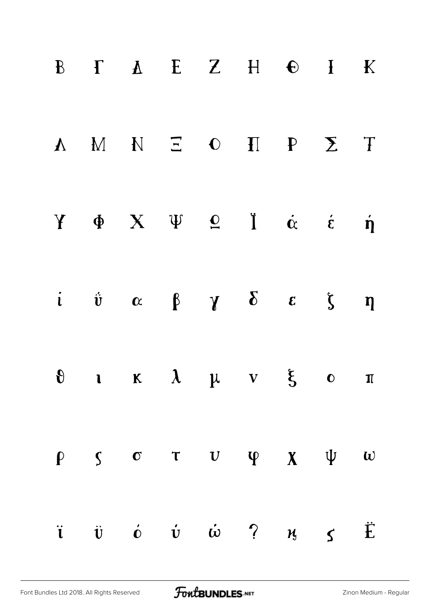| $B$ $I$ $A$ $E$ $Z$ $H$ $E$ $I$ $K$                                                                                   |  |  |             |          |
|-----------------------------------------------------------------------------------------------------------------------|--|--|-------------|----------|
| A M N E O H P E T                                                                                                     |  |  |             |          |
| $Y \oplus X \oplus Q \oplus I \oplus \alpha \in \mathfrak{H}$                                                         |  |  |             |          |
| $i \quad \dot{v} \quad \alpha \quad \beta \quad \gamma \quad \delta \quad \epsilon \quad \zeta \quad \eta$            |  |  |             |          |
| $\theta$ i $\kappa$ $\lambda$ $\mu$ $\nu$ $\xi$ $\theta$ $\pi$                                                        |  |  |             |          |
| $\rho$ $\zeta$ $\sigma$ $\tau$ $\upsilon$ $\psi$ $\chi$ $\psi$                                                        |  |  |             | $\omega$ |
| $\ddot{\mathbf{i}}$ $\ddot{\mathbf{v}}$ $\dot{\mathbf{c}}$ $\dot{\mathbf{v}}$ $\ddot{\mathbf{w}}$ $\ddot{\mathbf{c}}$ |  |  | $M_{3}$ $S$ | Ë        |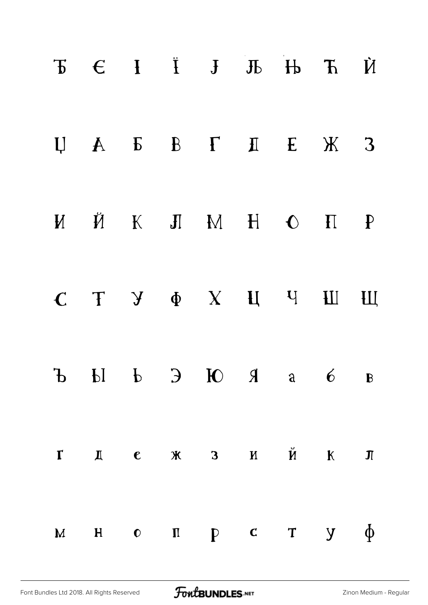|               |  | $\begin{array}{cccccccccccccc} \mathbf{F} & \mathbf{C} & \mathbf{F} & \mathbf{F} & \mathbf{F} & \mathbf{F} & \mathbf{F} & \mathbf{F} & \mathbf{F} & \mathbf{F} & \mathbf{F} & \mathbf{F} & \mathbf{F} & \mathbf{F} & \mathbf{F} & \mathbf{F} & \mathbf{F} & \mathbf{F} & \mathbf{F} & \mathbf{F} & \mathbf{F} & \mathbf{F} & \mathbf{F} & \mathbf{F} & \mathbf{F} & \mathbf{F} & \mathbf{F} & \mathbf{F} & \mathbf{F} & \mathbf{F} &$ |  |                        |
|---------------|--|---------------------------------------------------------------------------------------------------------------------------------------------------------------------------------------------------------------------------------------------------------------------------------------------------------------------------------------------------------------------------------------------------------------------------------------|--|------------------------|
|               |  | $U \quad A \quad E \quad B \quad T \quad I \quad E \quad X \quad 3$                                                                                                                                                                                                                                                                                                                                                                   |  |                        |
|               |  | $M \times M \times M \times H \times O \times H$                                                                                                                                                                                                                                                                                                                                                                                      |  |                        |
| $\mathcal{C}$ |  | T Y & X H Y H H                                                                                                                                                                                                                                                                                                                                                                                                                       |  |                        |
|               |  | $\mathbf{B}$ b $\mathbf{C}$ b $\mathbf{D}$ b $\mathbf{C}$ b $\mathbf{A}$ b $\mathbf{C}$                                                                                                                                                                                                                                                                                                                                               |  |                        |
| $\mathbf{r}$  |  | Д $e$ ж з и й к                                                                                                                                                                                                                                                                                                                                                                                                                       |  | $\mathbf{\mathcal{J}}$ |
|               |  | $M$ H O $\Pi$ $P$ C T $Y$                                                                                                                                                                                                                                                                                                                                                                                                             |  | $\Phi$                 |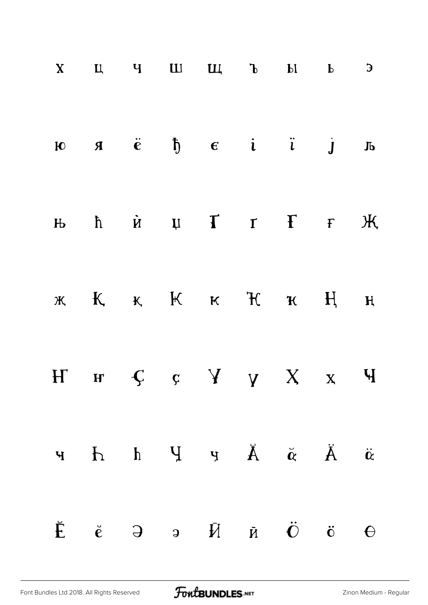|  |  | $X$ $U$ $V$ $U$ $U$ , $V$ $V$ $I$                                                                                                                                                                                                                                                                                                  |  | $\mathbf{E}$ |
|--|--|------------------------------------------------------------------------------------------------------------------------------------------------------------------------------------------------------------------------------------------------------------------------------------------------------------------------------------|--|--------------|
|  |  | $\mathbf{F}$ $\mathbf{F}$ $\mathbf{F}$ $\mathbf{F}$ $\mathbf{F}$ $\mathbf{F}$ $\mathbf{F}$ $\mathbf{F}$ $\mathbf{F}$ $\mathbf{F}$ $\mathbf{F}$ $\mathbf{F}$ $\mathbf{F}$ $\mathbf{F}$ $\mathbf{F}$ $\mathbf{F}$ $\mathbf{F}$ $\mathbf{F}$ $\mathbf{F}$ $\mathbf{F}$ $\mathbf{F}$ $\mathbf{F}$ $\mathbf{F}$ $\mathbf{F}$ $\mathbf{$ |  |              |
|  |  | $H_0$ $\hbar$ $\hbar$ $\hbar$ $\hbar$ $\hbar$ $\hbar$ $\hbar$ $\hbar$ $\hbar$ $\hbar$ $\hbar$ $\hbar$ $\hbar$ $\hbar$ $\hbar$ $\hbar$ $\hbar$ $\hbar$ $\hbar$ $\hbar$ $\hbar$ $\hbar$ $\hbar$ $\hbar$ $\hbar$ $\hbar$ $\hbar$ $\hbar$ $\hbar$ $\hbar$ $\hbar$ $\hbar$ $\hbar$ $\hbar$ $\hbar$ $\hbar$                              |  |              |
|  |  | $\kappa$ $K$ $\kappa$ $K$ $\kappa$ $K$ $\kappa$ $H$ $\kappa$                                                                                                                                                                                                                                                                       |  |              |
|  |  | $H$ $H$ $C$ $C$ $Y$ $Y$ $X$ $X$ $Y$                                                                                                                                                                                                                                                                                                |  |              |
|  |  | $\ddot{\mathbf{A}} = \ddot{\mathbf{A}} - \dot{\mathbf{A}} - \mathbf{P} - \mathbf{P} - \mathbf{P} - \mathbf{P} - \mathbf{P}$                                                                                                                                                                                                        |  |              |
|  |  | $\check{E}$ $\check{e}$ $\theta$ $\eta$ $\check{H}$ $\check{R}$ $\check{C}$ $\check{G}$                                                                                                                                                                                                                                            |  | $\Theta$     |